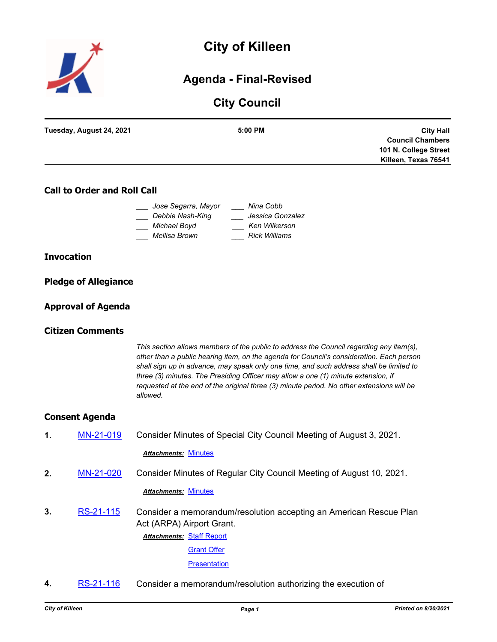

# **City of Killeen**

## **Agenda - Final-Revised**

## **City Council**

| Tuesday, August 24, 2021 | $5:00$ PM | <b>City Hall</b>        |
|--------------------------|-----------|-------------------------|
|                          |           | <b>Council Chambers</b> |
|                          |           | 101 N. College Street   |
|                          |           | Killeen, Texas 76541    |
|                          |           |                         |

## **Call to Order and Roll Call**

| Jose Segarra, Mayor | Nina Cobb            |
|---------------------|----------------------|
| Debbie Nash-King    | Jessica Gonzalez     |
| Michael Boyd        | Ken Wilkerson        |
| Mellisa Brown       | <b>Rick Williams</b> |

## **Invocation**

|  | <b>Pledge of Allegiance</b> |
|--|-----------------------------|
|  |                             |

## **Approval of Agenda**

## **Citizen Comments**

*This section allows members of the public to address the Council regarding any item(s), other than a public hearing item, on the agenda for Council's consideration. Each person shall sign up in advance, may speak only one time, and such address shall be limited to three (3) minutes. The Presiding Officer may allow a one (1) minute extension, if requested at the end of the original three (3) minute period. No other extensions will be allowed.*

## **Consent Agenda**

**1.** [MN-21-019](http://killeen.legistar.com/gateway.aspx?m=l&id=/matter.aspx?key=5649) Consider Minutes of Special City Council Meeting of August 3, 2021.

#### *Attachments:* [Minutes](http://killeen.legistar.com/gateway.aspx?M=F&ID=013d4896-1ce3-44c2-95df-1cdf764e9d46.pdf)

**2.** [MN-21-020](http://killeen.legistar.com/gateway.aspx?m=l&id=/matter.aspx?key=5648) Consider Minutes of Regular City Council Meeting of August 10, 2021.

#### *Attachments:* [Minutes](http://killeen.legistar.com/gateway.aspx?M=F&ID=189b5c64-820a-45a3-8184-9b1300e7cb80.pdf)

- **3.** [RS-21-115](http://killeen.legistar.com/gateway.aspx?m=l&id=/matter.aspx?key=5647) Consider a memorandum/resolution accepting an American Rescue Plan Act (ARPA) Airport Grant.
	- **Attachments: [Staff Report](http://killeen.legistar.com/gateway.aspx?M=F&ID=7b7c79d3-7ecc-4361-85f5-b6ec88fc9427.pdf)**

[Grant Offer](http://killeen.legistar.com/gateway.aspx?M=F&ID=8537a3d1-8c49-4454-b3be-c875377aa128.pdf)

**[Presentation](http://killeen.legistar.com/gateway.aspx?M=F&ID=6eb46a28-2463-4e79-aafa-2eb8b1c7c1c0.pdf)** 

**4.** [RS-21-116](http://killeen.legistar.com/gateway.aspx?m=l&id=/matter.aspx?key=5656) Consider a memorandum/resolution authorizing the execution of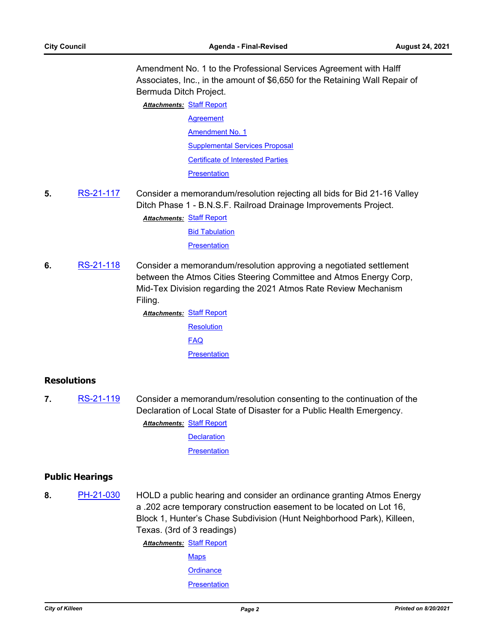Amendment No. 1 to the Professional Services Agreement with Halff Associates, Inc., in the amount of \$6,650 for the Retaining Wall Repair of Bermuda Ditch Project.

**Attachments: [Staff Report](http://killeen.legistar.com/gateway.aspx?M=F&ID=355eba23-6bad-4027-8a75-d73dd2407e6d.pdf)** 

**[Agreement](http://killeen.legistar.com/gateway.aspx?M=F&ID=6a799f95-4314-43b0-a4bb-e45677cd6f45.pdf)** [Amendment No. 1](http://killeen.legistar.com/gateway.aspx?M=F&ID=c3317923-20cd-4916-adaa-9cbf06aff90c.pdf) [Supplemental Services Proposal](http://killeen.legistar.com/gateway.aspx?M=F&ID=cc96190a-163c-42bf-9f54-0faae7bd8319.pdf) [Certificate of Interested Parties](http://killeen.legistar.com/gateway.aspx?M=F&ID=10b33a90-c136-4158-84b0-01d0bb1161d8.pdf)

**[Presentation](http://killeen.legistar.com/gateway.aspx?M=F&ID=945cbaed-3f8e-4155-be96-37e94b2677a9.pdf)** 

**5.** [RS-21-117](http://killeen.legistar.com/gateway.aspx?m=l&id=/matter.aspx?key=5658) Consider a memorandum/resolution rejecting all bids for Bid 21-16 Valley Ditch Phase 1 - B.N.S.F. Railroad Drainage Improvements Project.

**Attachments: [Staff Report](http://killeen.legistar.com/gateway.aspx?M=F&ID=96d3deb1-a40c-4cd3-b8d1-aaad130531d1.pdf)** 

[Bid Tabulation](http://killeen.legistar.com/gateway.aspx?M=F&ID=6b6f37c5-b50b-4a86-952c-6afb7a790cd1.pdf) **[Presentation](http://killeen.legistar.com/gateway.aspx?M=F&ID=b616ece4-c805-49e1-bd80-a2bcc8f0a20b.pdf)** 

**6.** [RS-21-118](http://killeen.legistar.com/gateway.aspx?m=l&id=/matter.aspx?key=5657) Consider a memorandum/resolution approving a negotiated settlement between the Atmos Cities Steering Committee and Atmos Energy Corp, Mid-Tex Division regarding the 2021 Atmos Rate Review Mechanism Filing.

> **Attachments: [Staff Report](http://killeen.legistar.com/gateway.aspx?M=F&ID=8f15e8a2-c8fa-4107-86f4-b32c06b548a4.pdf) [Resolution](http://killeen.legistar.com/gateway.aspx?M=F&ID=7b1e338a-63b6-4423-a29d-22a537bf76e7.pdf)** [FAQ](http://killeen.legistar.com/gateway.aspx?M=F&ID=c0366d41-d754-4024-baee-4e6d152e00f5.pdf) **[Presentation](http://killeen.legistar.com/gateway.aspx?M=F&ID=b6e54f93-6291-4447-a7ed-0d47ce121e12.pdf)**

## **Resolutions**

**7.** [RS-21-119](http://killeen.legistar.com/gateway.aspx?m=l&id=/matter.aspx?key=5665) Consider a memorandum/resolution consenting to the continuation of the Declaration of Local State of Disaster for a Public Health Emergency.

[Staff Report](http://killeen.legistar.com/gateway.aspx?M=F&ID=c6904596-994a-4f2b-ae13-c99cb5de3e03.pdf) *Attachments:*

**[Declaration](http://killeen.legistar.com/gateway.aspx?M=F&ID=5b1a920b-750a-4169-aeb8-b80b5b92964e.pdf)** 

**[Presentation](http://killeen.legistar.com/gateway.aspx?M=F&ID=be8ce14e-1812-4d46-bd46-c680b4733fb3.pdf)** 

## **Public Hearings**

**8.** [PH-21-030](http://killeen.legistar.com/gateway.aspx?m=l&id=/matter.aspx?key=5564) HOLD a public hearing and consider an ordinance granting Atmos Energy a .202 acre temporary construction easement to be located on Lot 16, Block 1, Hunter's Chase Subdivision (Hunt Neighborhood Park), Killeen, Texas. (3rd of 3 readings)

> **Attachments: [Staff Report](http://killeen.legistar.com/gateway.aspx?M=F&ID=0ed027cb-6f76-4780-8866-522a796f954d.pdf) [Maps](http://killeen.legistar.com/gateway.aspx?M=F&ID=8847f1cd-9ee0-4bea-8079-4b59fd76d916.pdf) [Ordinance](http://killeen.legistar.com/gateway.aspx?M=F&ID=44d13e7b-ff0b-46a4-a622-b465ba434e2d.pdf)**

**[Presentation](http://killeen.legistar.com/gateway.aspx?M=F&ID=e35b7593-e5c7-4462-8243-3ec222fd5a92.pdf)**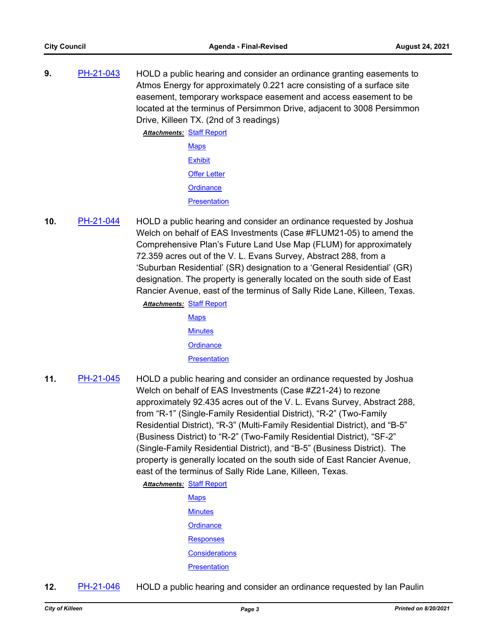**9.** [PH-21-043](http://killeen.legistar.com/gateway.aspx?m=l&id=/matter.aspx?key=5627) HOLD a public hearing and consider an ordinance granting easements to Atmos Energy for approximately 0.221 acre consisting of a surface site easement, temporary workspace easement and access easement to be located at the terminus of Persimmon Drive, adjacent to 3008 Persimmon Drive, Killeen TX. (2nd of 3 readings)

> **Attachments: [Staff Report](http://killeen.legistar.com/gateway.aspx?M=F&ID=994bcbbe-af8f-4de0-8033-956bd1b22453.pdf) [Maps](http://killeen.legistar.com/gateway.aspx?M=F&ID=fd93a5df-91aa-4b78-895c-e96587131f11.pdf) [Exhibit](http://killeen.legistar.com/gateway.aspx?M=F&ID=f6cb8c0b-7a09-48a5-b8c6-99472d80a201.pdf)** [Offer Letter](http://killeen.legistar.com/gateway.aspx?M=F&ID=33fda0b4-dfeb-4c1f-bd0b-8dda1d08ab17.pdf) **[Ordinance](http://killeen.legistar.com/gateway.aspx?M=F&ID=8b3d10ea-d68d-410a-8eb4-8b30037c0072.pdf) [Presentation](http://killeen.legistar.com/gateway.aspx?M=F&ID=4c73084e-4b7c-4919-8669-00a089ca0a76.pdf)**

**10.** [PH-21-044](http://killeen.legistar.com/gateway.aspx?m=l&id=/matter.aspx?key=5642) HOLD a public hearing and consider an ordinance requested by Joshua Welch on behalf of EAS Investments (Case #FLUM21-05) to amend the Comprehensive Plan's Future Land Use Map (FLUM) for approximately 72.359 acres out of the V. L. Evans Survey, Abstract 288, from a 'Suburban Residential' (SR) designation to a 'General Residential' (GR) designation. The property is generally located on the south side of East Rancier Avenue, east of the terminus of Sally Ride Lane, Killeen, Texas.

**Attachments: [Staff Report](http://killeen.legistar.com/gateway.aspx?M=F&ID=4489cf1f-229b-42a4-857f-eca733514094.pdf)** 

- **[Maps](http://killeen.legistar.com/gateway.aspx?M=F&ID=35928bf0-a29d-4609-9144-4828d668096c.pdf) [Minutes](http://killeen.legistar.com/gateway.aspx?M=F&ID=f1fce43a-f904-4bb0-b5f5-abfa2b3c5456.pdf) [Ordinance](http://killeen.legistar.com/gateway.aspx?M=F&ID=632b94cb-e6b9-4a07-8207-cff20e0d30bf.pdf) [Presentation](http://killeen.legistar.com/gateway.aspx?M=F&ID=669b8556-172a-4a84-8d1e-9f48adcb1108.pdf)**
- **11.** [PH-21-045](http://killeen.legistar.com/gateway.aspx?m=l&id=/matter.aspx?key=5640) HOLD a public hearing and consider an ordinance requested by Joshua Welch on behalf of EAS Investments (Case #Z21-24) to rezone approximately 92.435 acres out of the V. L. Evans Survey, Abstract 288, from "R-1" (Single-Family Residential District), "R-2" (Two-Family Residential District), "R-3" (Multi-Family Residential District), and "B-5" (Business District) to "R-2" (Two-Family Residential District), "SF-2" (Single-Family Residential District), and "B-5" (Business District). The property is generally located on the south side of East Rancier Avenue, east of the terminus of Sally Ride Lane, Killeen, Texas.

**Attachments: [Staff Report](http://killeen.legistar.com/gateway.aspx?M=F&ID=90c8491d-2ae4-4bd5-8f95-bed470e17de1.pdf)** 

- **[Maps](http://killeen.legistar.com/gateway.aspx?M=F&ID=407f41ea-ff0b-45cb-8227-59265a656f07.pdf) [Minutes](http://killeen.legistar.com/gateway.aspx?M=F&ID=215df31f-2cba-48f7-a872-9ae5c49ffa6c.pdf) [Ordinance](http://killeen.legistar.com/gateway.aspx?M=F&ID=0bd2a9dc-bb36-4d68-8972-00b161855528.pdf) [Responses](http://killeen.legistar.com/gateway.aspx?M=F&ID=92ea116d-7044-47d2-a44c-eb4cfbaac864.pdf) [Considerations](http://killeen.legistar.com/gateway.aspx?M=F&ID=5584fc71-62b6-410f-9ea4-f5fbb3fbb04c.pdf) [Presentation](http://killeen.legistar.com/gateway.aspx?M=F&ID=5ce48f7b-c43c-4c07-8c98-7fe829d5d065.pdf)**
- **12.** [PH-21-046](http://killeen.legistar.com/gateway.aspx?m=l&id=/matter.aspx?key=5641) HOLD a public hearing and consider an ordinance requested by Ian Paulin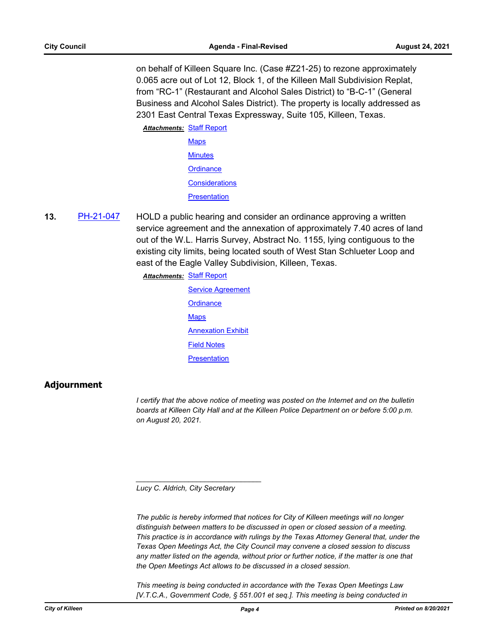on behalf of Killeen Square Inc. (Case #Z21-25) to rezone approximately 0.065 acre out of Lot 12, Block 1, of the Killeen Mall Subdivision Replat, from "RC-1" (Restaurant and Alcohol Sales District) to "B-C-1" (General Business and Alcohol Sales District). The property is locally addressed as 2301 East Central Texas Expressway, Suite 105, Killeen, Texas.

**Attachments: [Staff Report](http://killeen.legistar.com/gateway.aspx?M=F&ID=6d3b9496-588a-4140-969d-5a6486231772.pdf)** 

**[Maps](http://killeen.legistar.com/gateway.aspx?M=F&ID=01437304-6865-400b-a480-f5d57f9269d2.pdf) [Minutes](http://killeen.legistar.com/gateway.aspx?M=F&ID=21620d6a-6593-4331-ba46-faa0a38636fc.pdf) [Ordinance](http://killeen.legistar.com/gateway.aspx?M=F&ID=94b42a61-f302-4d9f-9fcc-1ff3bc118548.pdf) [Considerations](http://killeen.legistar.com/gateway.aspx?M=F&ID=cd75b752-623a-48d2-abb5-6cbc83037da8.pdf) [Presentation](http://killeen.legistar.com/gateway.aspx?M=F&ID=08b2f7ef-3ffa-44c5-a4ed-fd2056e0b181.pdf)** 

**13.** [PH-21-047](http://killeen.legistar.com/gateway.aspx?m=l&id=/matter.aspx?key=5659) HOLD a public hearing and consider an ordinance approving a written service agreement and the annexation of approximately 7.40 acres of land out of the W.L. Harris Survey, Abstract No. 1155, lying contiguous to the existing city limits, being located south of West Stan Schlueter Loop and east of the Eagle Valley Subdivision, Killeen, Texas.

**Attachments: [Staff Report](http://killeen.legistar.com/gateway.aspx?M=F&ID=9a56773c-dabe-49b7-bee9-fab23cf54b0d.pdf)** 

[Service Agreement](http://killeen.legistar.com/gateway.aspx?M=F&ID=926e0905-ee3b-47de-a4a5-d5b1ca397370.pdf) **[Ordinance](http://killeen.legistar.com/gateway.aspx?M=F&ID=894ec82d-8be2-44be-8034-1781bb18d24a.pdf) [Maps](http://killeen.legistar.com/gateway.aspx?M=F&ID=816700cf-e5eb-461c-81e6-6c8ae4361a8a.pdf) [Annexation Exhibit](http://killeen.legistar.com/gateway.aspx?M=F&ID=42817f16-fd2a-4192-a458-a0bd38c9450a.pdf)** [Field Notes](http://killeen.legistar.com/gateway.aspx?M=F&ID=fff35307-ae02-4269-8adc-eab089602bcd.pdf) **[Presentation](http://killeen.legistar.com/gateway.aspx?M=F&ID=c3f4d960-440e-4b28-a929-5f512a84bc3e.pdf)** 

## **Adjournment**

*I certify that the above notice of meeting was posted on the Internet and on the bulletin boards at Killeen City Hall and at the Killeen Police Department on or before 5:00 p.m. on August 20, 2021.*

*Lucy C. Aldrich, City Secretary* 

*\_\_\_\_\_\_\_\_\_\_\_\_\_\_\_\_\_\_\_\_\_\_\_\_\_\_\_\_\_\_\_*

*The public is hereby informed that notices for City of Killeen meetings will no longer distinguish between matters to be discussed in open or closed session of a meeting. This practice is in accordance with rulings by the Texas Attorney General that, under the Texas Open Meetings Act, the City Council may convene a closed session to discuss*  any matter listed on the agenda, without prior or further notice, if the matter is one that *the Open Meetings Act allows to be discussed in a closed session.*

*This meeting is being conducted in accordance with the Texas Open Meetings Law [V.T.C.A., Government Code, § 551.001 et seq.]. This meeting is being conducted in*